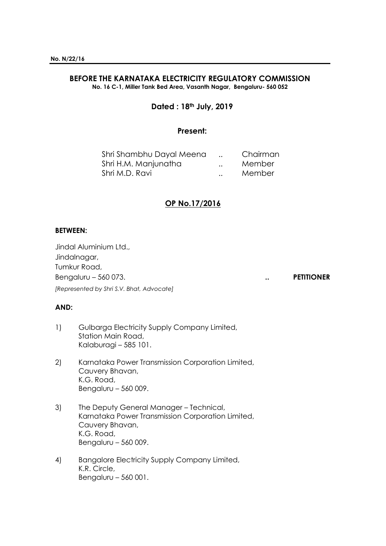#### **BEFORE THE KARNATAKA ELECTRICITY REGULATORY COMMISSION No. 16 C-1, Miller Tank Bed Area, Vasanth Nagar, Bengaluru- 560 052**

**Dated : 18th July, 2019**

## **Present:**

| Shri Shambhu Dayal Meena |                      | Chairman |
|--------------------------|----------------------|----------|
| Shri H.M. Manjunatha     | $\ddot{\phantom{a}}$ | Member   |
| Shri M.D. Ravi           | $\ddot{\phantom{a}}$ | Member   |

## **OP No.17/2016**

### **BETWEEN:**

Jindal Aluminium Ltd., Jindalnagar, Tumkur Road, Bengaluru – 560 073. **.. PETITIONER** *[Represented by Shri S.V. Bhat, Advocate]*

#### **AND:**

- 1) Gulbarga Electricity Supply Company Limited, Station Main Road, Kalaburagi – 585 101.
- 2) Karnataka Power Transmission Corporation Limited, Cauvery Bhavan, K.G. Road, Bengaluru – 560 009.
- 3) The Deputy General Manager Technical, Karnataka Power Transmission Corporation Limited, Cauvery Bhavan, K.G. Road, Bengaluru – 560 009.
- 4) Bangalore Electricity Supply Company Limited, K.R. Circle, Bengaluru – 560 001.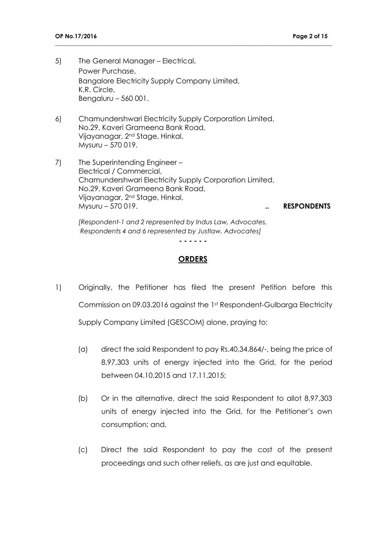- 5) The General Manager Electrical, Power Purchase, Bangalore Electricity Supply Company Limited, K.R. Circle, Bengaluru – 560 001.
- 6) Chamundershwari Electricity Supply Corporation Limited, No.29, Kaveri Grameena Bank Road, Vijayanagar, 2nd Stage, Hinkal, Mysuru – 570 019.
- 7) The Superintending Engineer Electrical / Commercial, Chamundershwari Electricity Supply Corporation Limited, No.29, Kaveri Grameena Bank Road, Vijayanagar, 2nd Stage, Hinkal, Mysuru – 570 019. **.. RESPONDENTS**

*[Respondent-1 and 2 represented by Indus Law, Advocates, Respondents 4 and 6 represented by Justlaw, Advocates]*

**- - - - - -**

**\_\_\_\_\_\_\_\_\_\_\_\_\_\_\_\_\_\_\_\_\_\_\_\_\_\_\_\_\_\_\_\_\_\_\_\_\_\_\_\_\_\_\_\_\_\_\_\_\_\_\_\_\_\_\_\_\_\_\_\_\_\_\_\_\_\_\_\_\_\_\_\_\_\_\_\_\_\_\_\_\_\_\_\_\_\_\_\_\_\_\_\_\_\_\_**

### **ORDERS**

- 1) Originally, the Petitioner has filed the present Petition before this Commission on 09.03.2016 against the 1st Respondent-Gulbarga Electricity Supply Company Limited (GESCOM) alone, praying to:
	- (a) direct the said Respondent to pay Rs.40,34,864/-, being the price of 8,97,303 units of energy injected into the Grid, for the period between 04.10.2015 and 17.11.2015;
	- (b) Or in the alternative, direct the said Respondent to allot 8,97,303 units of energy injected into the Grid, for the Petitioner's own consumption; and,
	- (c) Direct the said Respondent to pay the cost of the present proceedings and such other reliefs, as are just and equitable.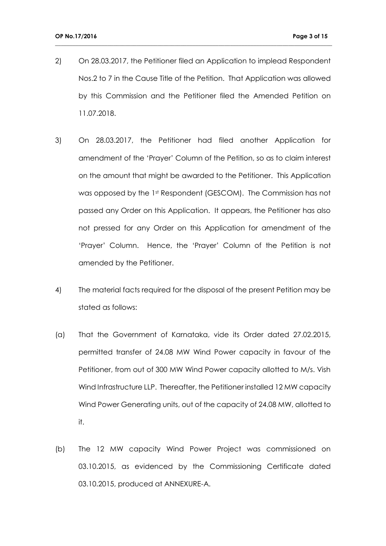2) On 28.03.2017, the Petitioner filed an Application to implead Respondent Nos.2 to 7 in the Cause Title of the Petition. That Application was allowed by this Commission and the Petitioner filed the Amended Petition on 11.07.2018.

- 3) On 28.03.2017, the Petitioner had filed another Application for amendment of the 'Prayer' Column of the Petition, so as to claim interest on the amount that might be awarded to the Petitioner. This Application was opposed by the 1st Respondent (GESCOM). The Commission has not passed any Order on this Application. It appears, the Petitioner has also not pressed for any Order on this Application for amendment of the 'Prayer' Column. Hence, the 'Prayer' Column of the Petition is not amended by the Petitioner.
- 4) The material facts required for the disposal of the present Petition may be stated as follows:
- (a) That the Government of Karnataka, vide its Order dated 27.02.2015, permitted transfer of 24.08 MW Wind Power capacity in favour of the Petitioner, from out of 300 MW Wind Power capacity allotted to M/s. Vish Wind Infrastructure LLP. Thereafter, the Petitioner installed 12 MW capacity Wind Power Generating units, out of the capacity of 24.08 MW, allotted to it.
- (b) The 12 MW capacity Wind Power Project was commissioned on 03.10.2015, as evidenced by the Commissioning Certificate dated 03.10.2015, produced at ANNEXURE-A.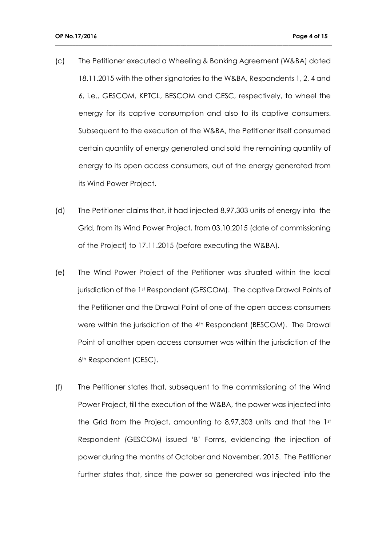(c) The Petitioner executed a Wheeling & Banking Agreement (W&BA) dated 18.11.2015 with the other signatories to the W&BA, Respondents 1, 2, 4 and 6, i.e., GESCOM, KPTCL, BESCOM and CESC, respectively, to wheel the energy for its captive consumption and also to its captive consumers. Subsequent to the execution of the W&BA, the Petitioner itself consumed certain quantity of energy generated and sold the remaining quantity of energy to its open access consumers, out of the energy generated from its Wind Power Project.

- (d) The Petitioner claims that, it had injected 8,97,303 units of energy into the Grid, from its Wind Power Project, from 03.10.2015 (date of commissioning of the Project) to 17.11.2015 (before executing the W&BA).
- (e) The Wind Power Project of the Petitioner was situated within the local jurisdiction of the 1st Respondent (GESCOM). The captive Drawal Points of the Petitioner and the Drawal Point of one of the open access consumers were within the jurisdiction of the 4<sup>th</sup> Respondent (BESCOM). The Drawal Point of another open access consumer was within the jurisdiction of the 6<sup>th</sup> Respondent (CESC).
- (f) The Petitioner states that, subsequent to the commissioning of the Wind Power Project, till the execution of the W&BA, the power was injected into the Grid from the Project, amounting to 8,97,303 units and that the 1st Respondent (GESCOM) issued 'B' Forms, evidencing the injection of power during the months of October and November, 2015. The Petitioner further states that, since the power so generated was injected into the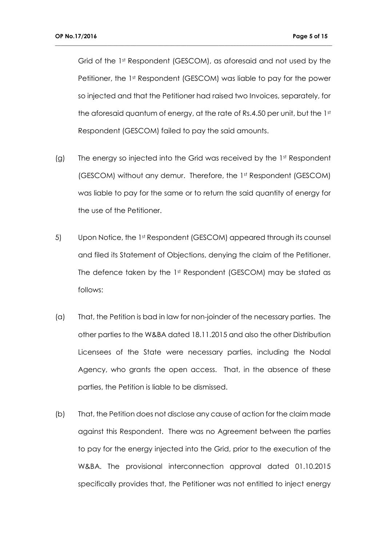Grid of the 1st Respondent (GESCOM), as aforesaid and not used by the Petitioner, the 1st Respondent (GESCOM) was liable to pay for the power so injected and that the Petitioner had raised two Invoices, separately, for the aforesaid quantum of energy, at the rate of Rs.4.50 per unit, but the 1st Respondent (GESCOM) failed to pay the said amounts.

- (g) The energy so injected into the Grid was received by the  $1<sup>st</sup>$  Respondent (GESCOM) without any demur. Therefore, the 1st Respondent (GESCOM) was liable to pay for the same or to return the said quantity of energy for the use of the Petitioner.
- 5) Upon Notice, the 1st Respondent (GESCOM) appeared through its counsel and filed its Statement of Objections, denying the claim of the Petitioner. The defence taken by the 1st Respondent (GESCOM) may be stated as follows:
- (a) That, the Petition is bad in law for non-joinder of the necessary parties. The other parties to the W&BA dated 18.11.2015 and also the other Distribution Licensees of the State were necessary parties, including the Nodal Agency, who grants the open access. That, in the absence of these parties, the Petition is liable to be dismissed.
- (b) That, the Petition does not disclose any cause of action for the claim made against this Respondent. There was no Agreement between the parties to pay for the energy injected into the Grid, prior to the execution of the W&BA. The provisional interconnection approval dated 01.10.2015 specifically provides that, the Petitioner was not entitled to inject energy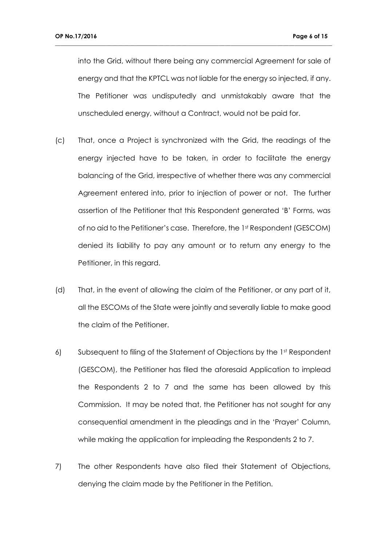into the Grid, without there being any commercial Agreement for sale of energy and that the KPTCL was not liable for the energy so injected, if any. The Petitioner was undisputedly and unmistakably aware that the unscheduled energy, without a Contract, would not be paid for.

- (c) That, once a Project is synchronized with the Grid, the readings of the energy injected have to be taken, in order to facilitate the energy balancing of the Grid, irrespective of whether there was any commercial Agreement entered into, prior to injection of power or not. The further assertion of the Petitioner that this Respondent generated 'B' Forms, was of no aid to the Petitioner's case. Therefore, the 1st Respondent (GESCOM) denied its liability to pay any amount or to return any energy to the Petitioner, in this regard.
- (d) That, in the event of allowing the claim of the Petitioner, or any part of it, all the ESCOMs of the State were jointly and severally liable to make good the claim of the Petitioner.
- 6) Subsequent to filing of the Statement of Objections by the 1st Respondent (GESCOM), the Petitioner has filed the aforesaid Application to implead the Respondents 2 to 7 and the same has been allowed by this Commission. It may be noted that, the Petitioner has not sought for any consequential amendment in the pleadings and in the 'Prayer' Column, while making the application for impleading the Respondents 2 to 7.
- 7) The other Respondents have also filed their Statement of Objections, denying the claim made by the Petitioner in the Petition.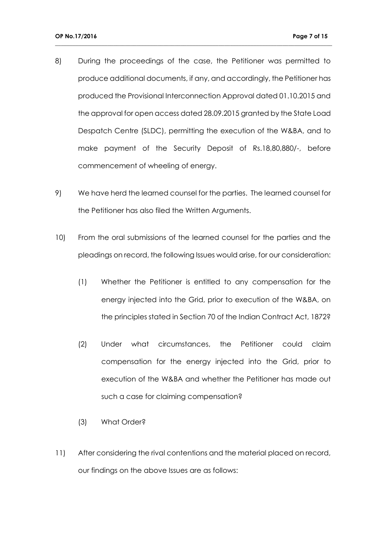8) During the proceedings of the case, the Petitioner was permitted to produce additional documents, if any, and accordingly, the Petitioner has produced the Provisional Interconnection Approval dated 01.10.2015 and the approval for open access dated 28.09.2015 granted by the State Load Despatch Centre (SLDC), permitting the execution of the W&BA, and to make payment of the Security Deposit of Rs.18,80,880/-, before commencement of wheeling of energy.

- 9) We have herd the learned counsel for the parties. The learned counsel for the Petitioner has also filed the Written Arguments.
- 10) From the oral submissions of the learned counsel for the parties and the pleadings on record, the following Issues would arise, for our consideration:
	- (1) Whether the Petitioner is entitled to any compensation for the energy injected into the Grid, prior to execution of the W&BA, on the principles stated in Section 70 of the Indian Contract Act, 1872?
	- (2) Under what circumstances, the Petitioner could claim compensation for the energy injected into the Grid, prior to execution of the W&BA and whether the Petitioner has made out such a case for claiming compensation?
	- (3) What Order?
- 11) After considering the rival contentions and the material placed on record, our findings on the above Issues are as follows: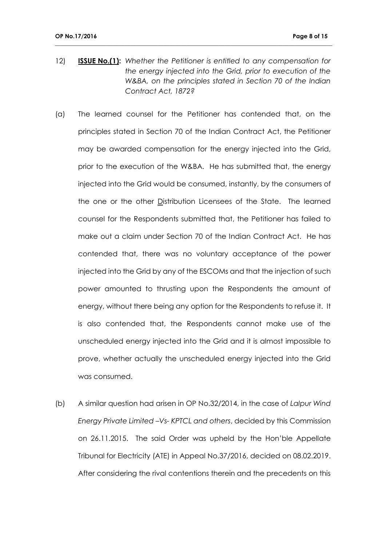12) **ISSUE No.(1):** *Whether the Petitioner is entitled to any compensation for the energy injected into the Grid, prior to execution of the W&BA, on the principles stated in Section 70 of the Indian Contract Act, 1872?*

- (a) The learned counsel for the Petitioner has contended that, on the principles stated in Section 70 of the Indian Contract Act, the Petitioner may be awarded compensation for the energy injected into the Grid, prior to the execution of the W&BA. He has submitted that, the energy injected into the Grid would be consumed, instantly, by the consumers of the one or the other Distribution Licensees of the State. The learned counsel for the Respondents submitted that, the Petitioner has failed to make out a claim under Section 70 of the Indian Contract Act. He has contended that, there was no voluntary acceptance of the power injected into the Grid by any of the ESCOMs and that the injection of such power amounted to thrusting upon the Respondents the amount of energy, without there being any option for the Respondents to refuse it. It is also contended that, the Respondents cannot make use of the unscheduled energy injected into the Grid and it is almost impossible to prove, whether actually the unscheduled energy injected into the Grid was consumed.
- (b) A similar question had arisen in OP No.32/2014, in the case of *Lalpur Wind Energy Private Limited –Vs- KPTCL and others*, decided by this Commission on 26.11.2015. The said Order was upheld by the Hon'ble Appellate Tribunal for Electricity (ATE) in Appeal No.37/2016, decided on 08.02.2019. After considering the rival contentions therein and the precedents on this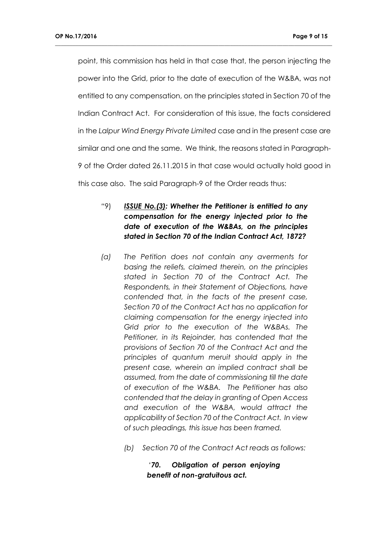point, this commission has held in that case that, the person injecting the power into the Grid, prior to the date of execution of the W&BA, was not entitled to any compensation, on the principles stated in Section 70 of the Indian Contract Act. For consideration of this issue, the facts considered in the *Lalpur Wind Energy Private Limited* case and in the present case are similar and one and the same. We think, the reasons stated in Paragraph-9 of the Order dated 26.11.2015 in that case would actually hold good in this case also. The said Paragraph-9 of the Order reads thus:

**\_\_\_\_\_\_\_\_\_\_\_\_\_\_\_\_\_\_\_\_\_\_\_\_\_\_\_\_\_\_\_\_\_\_\_\_\_\_\_\_\_\_\_\_\_\_\_\_\_\_\_\_\_\_\_\_\_\_\_\_\_\_\_\_\_\_\_\_\_\_\_\_\_\_\_\_\_\_\_\_\_\_\_\_\_\_\_\_\_\_\_\_\_\_\_**

# *"*9) *ISSUE No.(3): Whether the Petitioner is entitled to any compensation for the energy injected prior to the date of execution of the W&BAs, on the principles stated in Section 70 of the Indian Contract Act, 1872?*

- *(a) The Petition does not contain any averments for basing the reliefs, claimed therein, on the principles stated in Section 70 of the Contract Act. The Respondents, in their Statement of Objections, have contended that, in the facts of the present case, Section 70 of the Contract Act has no application for claiming compensation for the energy injected into Grid prior to the execution of the W&BAs. The Petitioner, in its Rejoinder, has contended that the provisions of Section 70 of the Contract Act and the principles of quantum meruit should apply in the present case, wherein an implied contract shall be assumed, from the date of commissioning till the date of execution of the W&BA. The Petitioner has also contended that the delay in granting of Open Access and execution of the W&BA, would attract the applicability of Section 70 of the Contract Act. In view of such pleadings, this issue has been framed.*
	- *(b) Section 70 of the Contract Act reads as follows:*

*'70. Obligation of person enjoying benefit of non-gratuitous act.*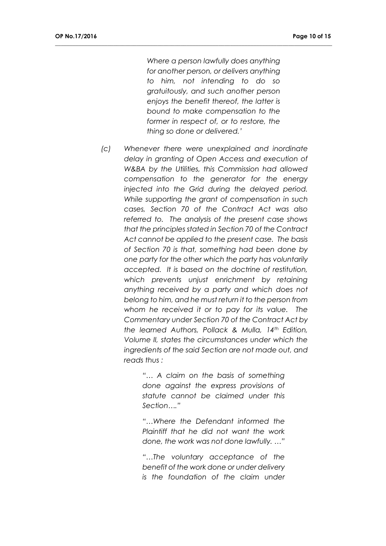*Where a person lawfully does anything for another person, or delivers anything to him, not intending to do so gratuitously, and such another person enjoys the benefit thereof, the latter is bound to make compensation to the former in respect of, or to restore, the thing so done or delivered.'*

**\_\_\_\_\_\_\_\_\_\_\_\_\_\_\_\_\_\_\_\_\_\_\_\_\_\_\_\_\_\_\_\_\_\_\_\_\_\_\_\_\_\_\_\_\_\_\_\_\_\_\_\_\_\_\_\_\_\_\_\_\_\_\_\_\_\_\_\_\_\_\_\_\_\_\_\_\_\_\_\_\_\_\_\_\_\_\_\_\_\_\_\_\_\_\_**

*(c) Whenever there were unexplained and inordinate delay in granting of Open Access and execution of W&BA by the Utilities, this Commission had allowed compensation to the generator for the energy injected into the Grid during the delayed period. While supporting the grant of compensation in such cases, Section 70 of the Contract Act was also referred to. The analysis of the present case shows that the principles stated in Section 70 of the Contract Act cannot be applied to the present case. The basis of Section 70 is that, something had been done by one party for the other which the party has voluntarily accepted. It is based on the doctrine of restitution, which prevents unjust enrichment by retaining anything received by a party and which does not belong to him, and he must return it to the person from whom he received it or to pay for its value. The Commentary under Section 70 of the Contract Act by the learned Authors, Pollack & Mulla, 14th Edition, Volume II, states the circumstances under which the ingredients of the said Section are not made out, and reads thus :*

> *"… A claim on the basis of something done against the express provisions of statute cannot be claimed under this Section…."*

> *"…Where the Defendant informed the Plaintiff that he did not want the work done, the work was not done lawfully. …"*

> *"…The voluntary acceptance of the benefit of the work done or under delivery is the foundation of the claim under*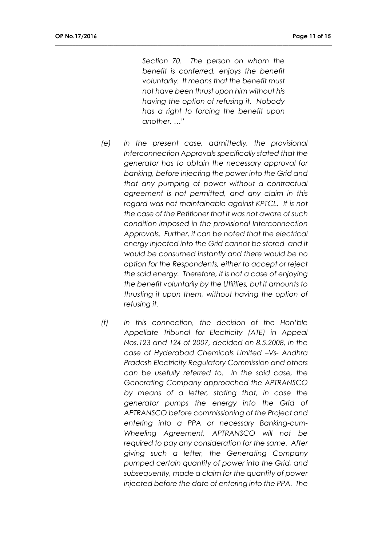*Section 70. The person on whom the benefit is conferred, enjoys the benefit voluntarily. It means that the benefit must not have been thrust upon him without his having the option of refusing it. Nobody has a right to forcing the benefit upon another. …"*

- *(e) In the present case, admittedly, the provisional Interconnection Approvals specifically stated that the generator has to obtain the necessary approval for banking, before injecting the power into the Grid and that any pumping of power without a contractual agreement is not permitted, and any claim in this regard was not maintainable against KPTCL. It is not the case of the Petitioner that it was not aware of such condition imposed in the provisional Interconnection Approvals. Further, it can be noted that the electrical energy injected into the Grid cannot be stored and it would be consumed instantly and there would be no option for the Respondents, either to accept or reject the said energy. Therefore, it is not a case of enjoying the benefit voluntarily by the Utilities, but it amounts to thrusting it upon them, without having the option of refusing it.*
- *(f) In this connection, the decision of the Hon'ble Appellate Tribunal for Electricity (ATE) in Appeal Nos.123 and 124 of 2007, decided on 8.5.2008, in the case of Hyderabad Chemicals Limited –Vs- Andhra Pradesh Electricity Regulatory Commission and others can be usefully referred to. In the said case, the Generating Company approached the APTRANSCO by means of a letter, stating that, in case the generator pumps the energy into the Grid of APTRANSCO before commissioning of the Project and entering into a PPA or necessary Banking-cum-Wheeling Agreement, APTRANSCO will not be required to pay any consideration for the same. After giving such a letter, the Generating Company pumped certain quantity of power into the Grid, and subsequently, made a claim for the quantity of power injected before the date of entering into the PPA. The*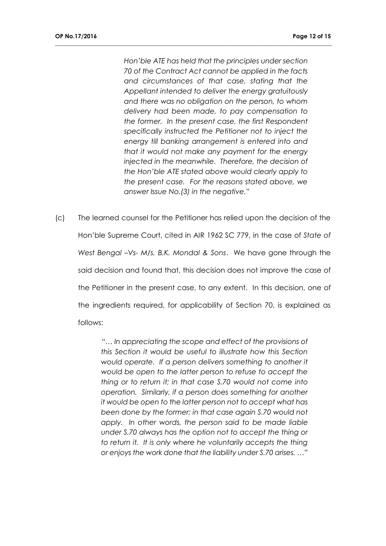*Hon'ble ATE has held that the principles under section 70 of the Contract Act cannot be applied in the facts and circumstances of that case, stating that the Appellant intended to deliver the energy gratuitously and there was no obligation on the person, to whom delivery had been made, to pay compensation to the former. In the present case, the first Respondent specifically instructed the Petitioner not to inject the energy till banking arrangement is entered into and that it would not make any payment for the energy injected in the meanwhile. Therefore, the decision of the Hon'ble ATE stated above would clearly apply to the present case. For the reasons stated above, we answer Issue No.(3) in the negative.*"

**\_\_\_\_\_\_\_\_\_\_\_\_\_\_\_\_\_\_\_\_\_\_\_\_\_\_\_\_\_\_\_\_\_\_\_\_\_\_\_\_\_\_\_\_\_\_\_\_\_\_\_\_\_\_\_\_\_\_\_\_\_\_\_\_\_\_\_\_\_\_\_\_\_\_\_\_\_\_\_\_\_\_\_\_\_\_\_\_\_\_\_\_\_\_\_**

(c) The learned counsel for the Petitioner has relied upon the decision of the Hon'ble Supreme Court, cited in AIR 1962 SC 779, in the case of *State of West Bengal -Vs- M/s. B.K. Mondal & Sons.* We have gone through the said decision and found that, this decision does not improve the case of the Petitioner in the present case, to any extent. In this decision, one of the ingredients required, for applicability of Section 70, is explained as follows:

> *"… In appreciating the scope and effect of the provisions of this Section it would be useful to illustrate how this Section would operate. If a person delivers something to another it would be open to the latter person to refuse to accept the thing or to return it; in that case S.70 would not come into operation. Similarly, if a person does something for another it would be open to the latter person not to accept what has been done by the former; in that case again S.70 would not apply. In other words, the person said to be made liable under S.70 always has the option not to accept the thing or to return it. It is only where he voluntarily accepts the thing or enjoys the work done that the liability under S.70 arises. …"*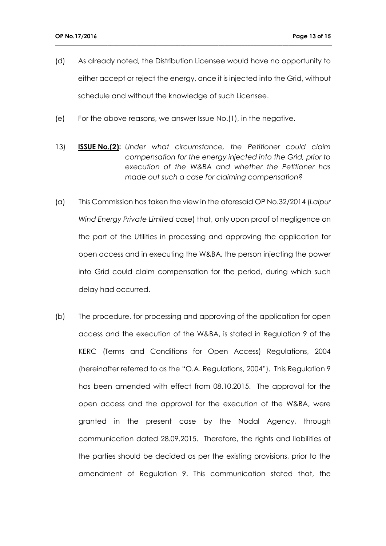(d) As already noted, the Distribution Licensee would have no opportunity to either accept or reject the energy, once it is injected into the Grid, without schedule and without the knowledge of such Licensee.

- (e) For the above reasons, we answer Issue No.(1), in the negative.
- 13) **ISSUE No.(2):** *Under what circumstance, the Petitioner could claim compensation for the energy injected into the Grid, prior to execution of the W&BA and whether the Petitioner has made out such a case for claiming compensation?*
- (a) This Commission has taken the view in the aforesaid OP No.32/2014 (*Lalpur Wind Energy Private Limited* case) that, only upon proof of negligence on the part of the Utilities in processing and approving the application for open access and in executing the W&BA, the person injecting the power into Grid could claim compensation for the period, during which such delay had occurred.
- (b) The procedure, for processing and approving of the application for open access and the execution of the W&BA, is stated in Regulation 9 of the KERC (Terms and Conditions for Open Access) Regulations, 2004 (hereinafter referred to as the "O.A. Regulations, 2004"). This Regulation 9 has been amended with effect from 08.10.2015. The approval for the open access and the approval for the execution of the W&BA, were granted in the present case by the Nodal Agency, through communication dated 28.09.2015. Therefore, the rights and liabilities of the parties should be decided as per the existing provisions, prior to the amendment of Regulation 9. This communication stated that, the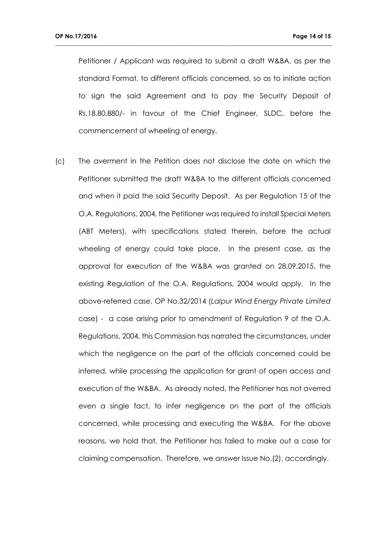Petitioner / Applicant was required to submit a draft W&BA, as per the standard Format, to different officials concerned, so as to initiate action to sign the said Agreement and to pay the Security Deposit of Rs.18,80,880/- in favour of the Chief Engineer, SLDC, before the commencement of wheeling of energy.

**\_\_\_\_\_\_\_\_\_\_\_\_\_\_\_\_\_\_\_\_\_\_\_\_\_\_\_\_\_\_\_\_\_\_\_\_\_\_\_\_\_\_\_\_\_\_\_\_\_\_\_\_\_\_\_\_\_\_\_\_\_\_\_\_\_\_\_\_\_\_\_\_\_\_\_\_\_\_\_\_\_\_\_\_\_\_\_\_\_\_\_\_\_\_\_**

(c) The averment in the Petition does not disclose the date on which the Petitioner submitted the draft W&BA to the different officials concerned and when it paid the said Security Deposit. As per Regulation 15 of the O.A. Regulations, 2004, the Petitioner was required to install Special Meters (ABT Meters), with specifications stated therein, before the actual wheeling of energy could take place. In the present case, as the approval for execution of the W&BA was granted on 28.09.2015, the existing Regulation of the O.A. Regulations, 2004 would apply. In the above-referred case, OP No.32/2014 (*Lalpur Wind Energy Private Limited* case) - a case arising prior to amendment of Regulation 9 of the O.A. Regulations, 2004, this Commission has narrated the circumstances, under which the negligence on the part of the officials concerned could be inferred, while processing the application for grant of open access and execution of the W&BA. As already noted, the Petitioner has not averred even a single fact, to infer negligence on the part of the officials concerned, while processing and executing the W&BA. For the above reasons, we hold that, the Petitioner has failed to make out a case for claiming compensation. Therefore, we answer Issue No.(2), accordingly.